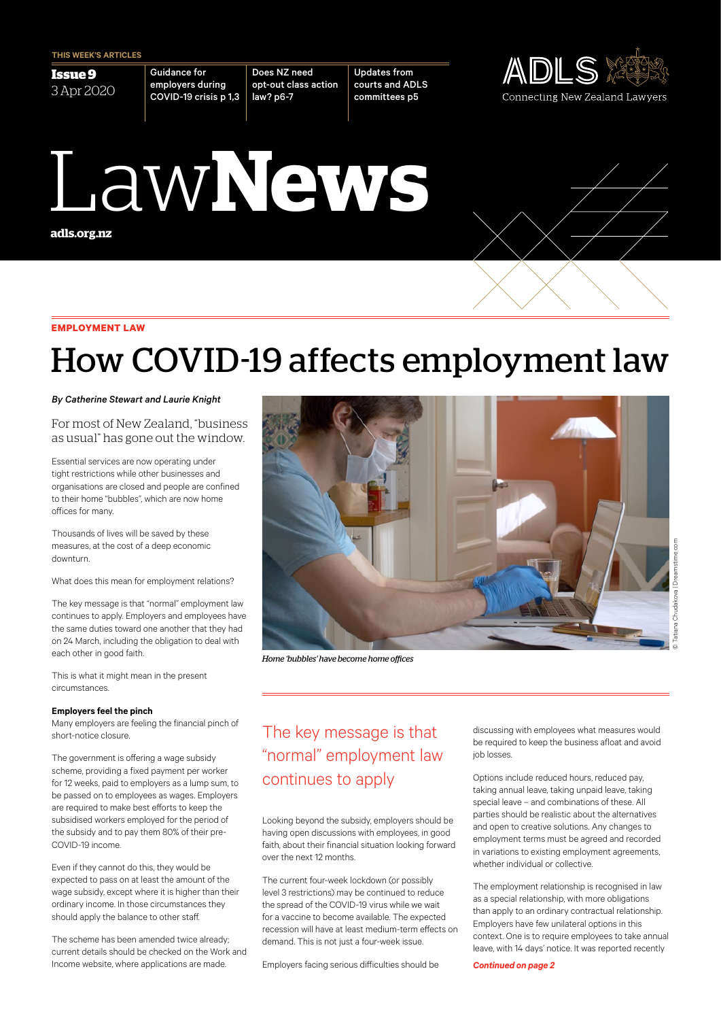**Issue 9** 3 Apr 2020 Guidance for employers during COVID-19 crisis p 1,3

Does NZ need opt-out class action law? p6-7

Updates from courts and ADLS committees p5



# **adls.org.nz** Law**News**



## How COVID-19 affects employment law

*By Catherine Stewart and Laurie Knight*

For most of New Zealand, "business as usual" has gone out the window.

Essential services are now operating under tight restrictions while other businesses and organisations are closed and people are confined to their home "bubbles", which are now home offices for many.

Thousands of lives will be saved by these measures, at the cost of a deep economic downturn.

What does this mean for employment relations?

The key message is that "normal" employment law continues to apply. Employers and employees have the same duties toward one another that they had on 24 March, including the obligation to deal with each other in good faith.

This is what it might mean in the present circumstances.

#### **Employers feel the pinch**

Many employers are feeling the financial pinch of short-notice closure.

The government is offering a wage subsidy scheme, providing a fixed payment per worker for 12 weeks, paid to employers as a lump sum, to be passed on to employees as wages. Employers are required to make best efforts to keep the subsidised workers employed for the period of the subsidy and to pay them 80% of their pre-COVID-19 income.

Even if they cannot do this, they would be expected to pass on at least the amount of the wage subsidy, except where it is higher than their ordinary income. In those circumstances they should apply the balance to other staff.

The scheme has been amended twice already; current details should be checked on the Work and Income website, where applications are made.



*Home 'bubbles' have become home offices*

### The key message is that "normal" employment law continues to apply

Looking beyond the subsidy, employers should be having open discussions with employees, in good faith, about their financial situation looking forward over the next 12 months.

The current four-week lockdown (or possibly level 3 restrictions) may be continued to reduce the spread of the COVID-19 virus while we wait for a vaccine to become available. The expected recession will have at least medium-term effects on demand. This is not just a four-week issue.

Employers facing serious difficulties should be

discussing with employees what measures would be required to keep the business afloat and avoid job losses.

Options include reduced hours, reduced pay, taking annual leave, taking unpaid leave, taking special leave – and combinations of these. All parties should be realistic about the alternatives and open to creative solutions. Any changes to employment terms must be agreed and recorded in variations to existing employment agreements, whether individual or collective.

The employment relationship is recognised in law as a special relationship, with more obligations than apply to an ordinary contractual relationship. Employers have few unilateral options in this context. One is to require employees to take annual leave, with 14 days' notice. It was reported recently

*Continued on page 2*